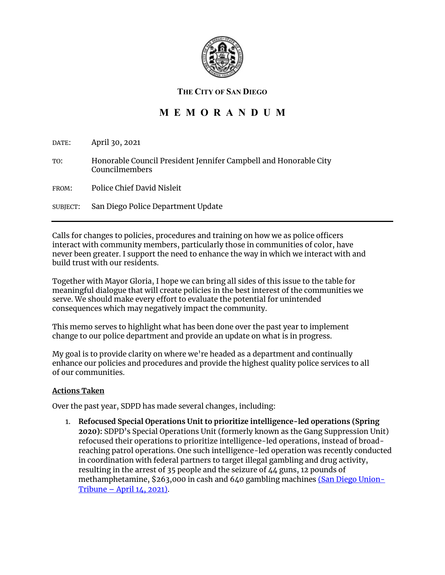

### **THE CITY OF SAN DIEGO**

# **M E M O R A N D U M**

DATE: April 30, 2021

TO: Honorable Council President Jennifer Campbell and Honorable City Councilmembers

FROM: Police Chief David Nisleit

SUBJECT: San Diego Police Department Update

Calls for changes to policies, procedures and training on how we as police officers interact with community members, particularly those in communities of color, have never been greater. I support the need to enhance the way in which we interact with and build trust with our residents.

Together with Mayor Gloria, I hope we can bring all sides of this issue to the table for meaningful dialogue that will create policies in the best interest of the communities we serve. We should make every effort to evaluate the potential for unintended consequences which may negatively impact the community.

This memo serves to highlight what has been done over the past year to implement change to our police department and provide an update on what is in progress.

My goal is to provide clarity on where we're headed as a department and continually enhance our policies and procedures and provide the highest quality police services to all of our communities.

#### **Actions Taken**

Over the past year, SDPD has made several changes, including:

1. **Refocused Special Operations Unit to prioritize intelligence-led operations (Spring 2020):** SDPD's Special Operations Unit (formerly known as the Gang Suppression Unit) refocused their operations to prioritize intelligence-led operations, instead of broadreaching patrol operations. One such intelligence-led operation was recently conducted in coordination with federal partners to target illegal gambling and drug activity, resulting in the arrest of 35 people and the seizure of 44 guns, 12 pounds of methamphetamine, \$263,000 in cash and 640 gambling machines [\(San Diego Union-](https://www.sandiegouniontribune.com/news/courts/story/2021-04-14/investigation-gambling-parlors)Tribune – [April 14, 2021\).](https://www.sandiegouniontribune.com/news/courts/story/2021-04-14/investigation-gambling-parlors)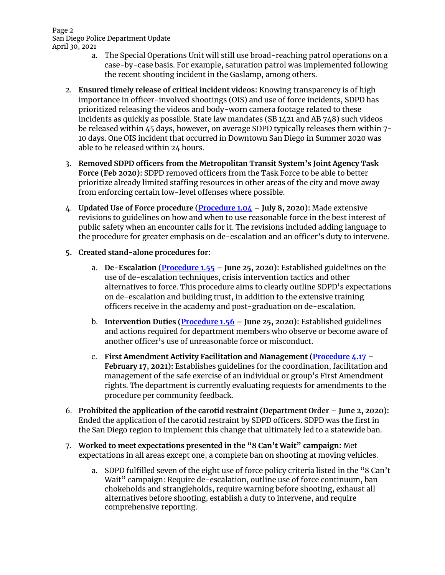#### Page 2 San Diego Police Department Update April 30, 2021

- a. The Special Operations Unit will still use broad-reaching patrol operations on a case-by-case basis. For example, saturation patrol was implemented following the recent shooting incident in the Gaslamp, among others.
- 2. **Ensured timely release of critical incident videos:** Knowing transparency is of high importance in officer-involved shootings (OIS) and use of force incidents, SDPD has prioritized releasing the videos and body-worn camera footage related to these incidents as quickly as possible. State law mandates (SB 1421 and AB 748) such videos be released within 45 days, however, on average SDPD typically releases them within 7- 10 days. One OIS incident that occurred in Downtown San Diego in Summer 2020 was able to be released within 24 hours.
- 3. **Removed SDPD officers from the Metropolitan Transit System's Joint Agency Task Force (Feb 2020):** SDPD removed officers from the Task Force to be able to better prioritize already limited staffing resources in other areas of the city and move away from enforcing certain low-level offenses where possible.
- 4. **Updated Use of Force procedure [\(Procedure](https://s3-us-west-2.amazonaws.com/themis2.datasd.org/policies_procedures/Procedures/1.0+Administration/104.pdf) 1.04 – July 8, 2020):** Made extensive revisions to guidelines on how and when to use reasonable force in the best interest of public safety when an encounter calls for it. The revisions included adding language to the procedure for greater emphasis on de-escalation and an officer's duty to intervene.

## **5. Created stand-alone procedures for:**

- a. **De-Escalation [\(Procedure](https://s3-us-west-2.amazonaws.com/themis2.datasd.org/policies_procedures/Procedures/1.0%20Administration/155.pdf) 1.55 – June 25, 2020):** Established guidelines on the use of de-escalation techniques, crisis intervention tactics and other alternatives to force. This procedure aims to clearly outline SDPD's expectations on de-escalation and building trust, in addition to the extensive training officers receive in the academy and post-graduation on de-escalation.
- b. **Intervention Duties [\(Procedure](https://s3-us-west-2.amazonaws.com/themis2.datasd.org/policies_procedures/Procedures/1.0%20Administration/156.pdf) 1.56 – June 25, 2020):** Established guidelines and actions required for department members who observe or become aware of another officer's use of unreasonable force or misconduct.
- c. **First Amendment Activity Facilitation and Management [\(Procedure](https://s3-us-west-2.amazonaws.com/themis2.datasd.org/policies_procedures/Procedures/4.0%20Legal/417.pdf) 4.17 – February 17, 2021):** Establishes guidelines for the coordination, facilitation and management of the safe exercise of an individual or group's First Amendment rights. The department is currently evaluating requests for amendments to the procedure per community feedback.
- 6. **Prohibited the application of the carotid restraint (Department Order – June 2, 2020):** Ended the application of the carotid restraint by SDPD officers. SDPD was the first in the San Diego region to implement this change that ultimately led to a statewide ban.
- 7. **Worked to meet expectations presented in the "8 Can't Wait" campaign:** Met expectations in all areas except one, a complete ban on shooting at moving vehicles.
	- a. SDPD fulfilled seven of the eight use of force policy criteria listed in the "8 Can't Wait" campaign: Require de-escalation, outline use of force continuum, ban chokeholds and strangleholds, require warning before shooting, exhaust all alternatives before shooting, establish a duty to intervene, and require comprehensive reporting.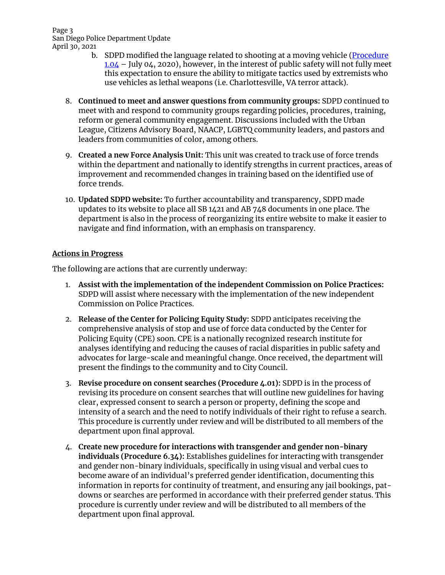Page 3 San Diego Police Department Update April 30, 2021

- b. SDPD modified the language related to shooting at a moving vehicle [\(Procedure](https://s3-us-west-2.amazonaws.com/themis2.datasd.org/policies_procedures/Procedures/1.0%20Administration/104.pdf)  $1.04$  – July 04, 2020), however, in the interest of public safety will not fully meet this expectation to ensure the ability to mitigate tactics used by extremists who use vehicles as lethal weapons (i.e. Charlottesville, VA terror attack).
- 8. **Continued to meet and answer questions from community groups:** SDPD continued to meet with and respond to community groups regarding policies, procedures, training, reform or general community engagement. Discussions included with the Urban League, Citizens Advisory Board, NAACP, LGBTQ community leaders, and pastors and leaders from communities of color, among others.
- 9. **Created a new Force Analysis Unit:** This unit was created to track use of force trends within the department and nationally to identify strengths in current practices, areas of improvement and recommended changes in training based on the identified use of force trends.
- 10. **Updated SDPD website:** To further accountability and transparency, SDPD made updates to its website to place all SB 1421 and AB 748 documents in one place. The department is also in the process of reorganizing its entire website to make it easier to navigate and find information, with an emphasis on transparency.

### **Actions in Progress**

The following are actions that are currently underway:

- 1. **Assist with the implementation of the independent Commission on Police Practices:** SDPD will assist where necessary with the implementation of the new independent Commission on Police Practices.
- 2. **Release of the Center for Policing Equity Study:** SDPD anticipates receiving the comprehensive analysis of stop and use of force data conducted by the Center for Policing Equity (CPE) soon. CPE is a nationally recognized research institute for analyses identifying and reducing the causes of racial disparities in public safety and advocates for large-scale and meaningful change. Once received, the department will present the findings to the community and to City Council.
- 3. **Revise procedure on consent searches (Procedure 4.01):** SDPD is in the process of revising its procedure on consent searches that will outline new guidelines for having clear, expressed consent to search a person or property, defining the scope and intensity of a search and the need to notify individuals of their right to refuse a search. This procedure is currently under review and will be distributed to all members of the department upon final approval.
- 4. **Create new procedure for interactions with transgender and gender non-binary individuals (Procedure 6.34):** Establishes guidelines for interacting with transgender and gender non-binary individuals, specifically in using visual and verbal cues to become aware of an individual's preferred gender identification, documenting this information in reports for continuity of treatment, and ensuring any jail bookings, patdowns or searches are performed in accordance with their preferred gender status. This procedure is currently under review and will be distributed to all members of the department upon final approval.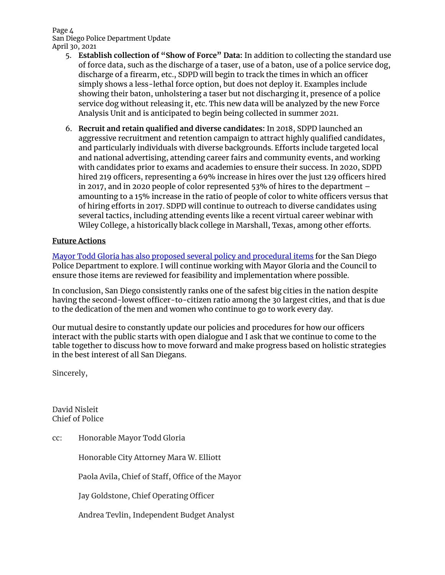#### Page 4 San Diego Police Department Update April 30, 2021

- 5. **Establish collection of "Show of Force" Data:** In addition to collecting the standard use of force data, such as the discharge of a taser, use of a baton, use of a police service dog, discharge of a firearm, etc., SDPD will begin to track the times in which an officer simply shows a less-lethal force option, but does not deploy it. Examples include showing their baton, unholstering a taser but not discharging it, presence of a police service dog without releasing it, etc. This new data will be analyzed by the new Force Analysis Unit and is anticipated to begin being collected in summer 2021.
- 6. **Recruit and retain qualified and diverse candidates:** In 2018, SDPD launched an aggressive recruitment and retention campaign to attract highly qualified candidates, and particularly individuals with diverse backgrounds. Efforts include targeted local and national advertising, attending career fairs and community events, and working with candidates prior to exams and academies to ensure their success. In 2020, SDPD hired 219 officers, representing a 69% increase in hires over the just 129 officers hired in 2017, and in 2020 people of color represented 53% of hires to the department – amounting to a 15% increase in the ratio of people of color to white officers versus that of hiring efforts in 2017. SDPD will continue to outreach to diverse candidates using several tactics, including attending events like a recent virtual career webinar with Wiley College, a historically black college in Marshall, Texas, among other efforts.

## **Future Actions**

[Mayor Todd Gloria has also proposed several policy and procedural items](https://www.sandiego.gov/department/mayor-gloria-announces-public-safety-priorities-reforms-police-practices) for the San Diego Police Department to explore. I will continue working with Mayor Gloria and the Council to ensure those items are reviewed for feasibility and implementation where possible.

In conclusion, San Diego consistently ranks one of the safest big cities in the nation despite having the second-lowest officer-to-citizen ratio among the 30 largest cities, and that is due to the dedication of the men and women who continue to go to work every day.

Our mutual desire to constantly update our policies and procedures for how our officers interact with the public starts with open dialogue and I ask that we continue to come to the table together to discuss how to move forward and make progress based on holistic strategies in the best interest of all San Diegans.

Sincerely,

David Nisleit Chief of Police

cc: Honorable Mayor Todd Gloria

Honorable City Attorney Mara W. Elliott

Paola Avila, Chief of Staff, Office of the Mayor

Jay Goldstone, Chief Operating Officer

Andrea Tevlin, Independent Budget Analyst